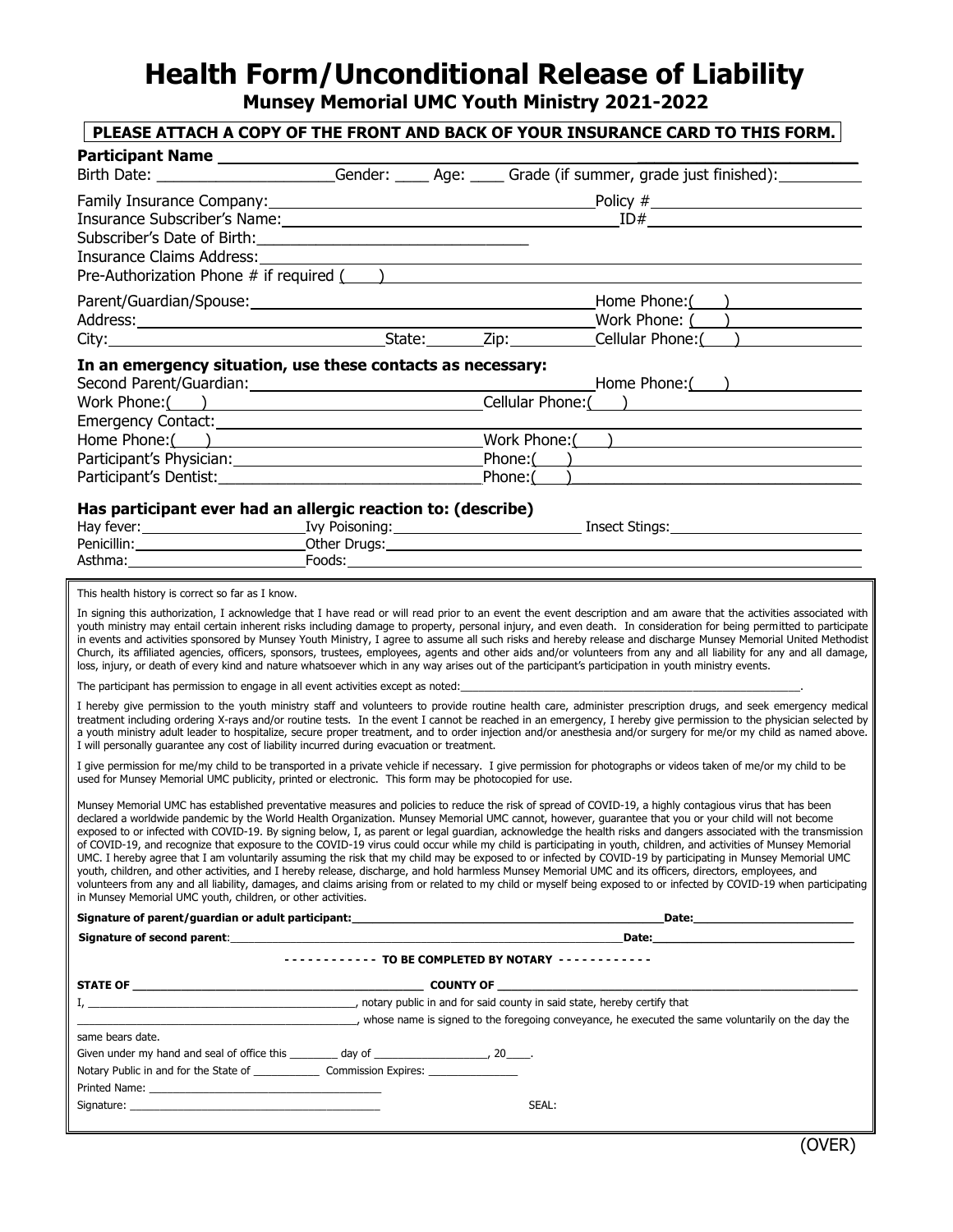## **Health Form/Unconditional Release of Liability**

**Munsey Memorial UMC Youth Ministry 2021-2022**

## **PLEASE ATTACH A COPY OF THE FRONT AND BACK OF YOUR INSURANCE CARD TO THIS FORM.**

| <b>Participant Name</b>                                                                                                                             |                                                               |       |                                                                                                                                                                                                                                                                                                                                                                                                                                                                                                                                                                                                                                                                                                                                                                                                                                                                                                                                                                                                                                                                                                                                                                |
|-----------------------------------------------------------------------------------------------------------------------------------------------------|---------------------------------------------------------------|-------|----------------------------------------------------------------------------------------------------------------------------------------------------------------------------------------------------------------------------------------------------------------------------------------------------------------------------------------------------------------------------------------------------------------------------------------------------------------------------------------------------------------------------------------------------------------------------------------------------------------------------------------------------------------------------------------------------------------------------------------------------------------------------------------------------------------------------------------------------------------------------------------------------------------------------------------------------------------------------------------------------------------------------------------------------------------------------------------------------------------------------------------------------------------|
|                                                                                                                                                     |                                                               |       | Birth Date: _______________________Gender: _____ Age: _____ Grade (if summer, grade just finished): __________                                                                                                                                                                                                                                                                                                                                                                                                                                                                                                                                                                                                                                                                                                                                                                                                                                                                                                                                                                                                                                                 |
|                                                                                                                                                     |                                                               |       | Family Insurance Company: <u>Company:</u> Company: Company: Company: Company: Company: Company: Company: Company: Comp                                                                                                                                                                                                                                                                                                                                                                                                                                                                                                                                                                                                                                                                                                                                                                                                                                                                                                                                                                                                                                         |
|                                                                                                                                                     |                                                               |       | Insurance Subscriber's Name: 10 and 10 and 10 and 10 and 10 and 10 and 10 and 10 and 10 and 10 and 10 and 10 and 10 and 10 and 10 and 10 and 10 and 10 and 10 and 10 and 10 and 10 and 10 and 10 and 10 and 10 and 10 and 10 a                                                                                                                                                                                                                                                                                                                                                                                                                                                                                                                                                                                                                                                                                                                                                                                                                                                                                                                                 |
|                                                                                                                                                     |                                                               |       |                                                                                                                                                                                                                                                                                                                                                                                                                                                                                                                                                                                                                                                                                                                                                                                                                                                                                                                                                                                                                                                                                                                                                                |
| Insurance Claims Address:                                                                                                                           | <u> 1980 - Andrea Stadt Britain, fransk politik (d. 1980)</u> |       |                                                                                                                                                                                                                                                                                                                                                                                                                                                                                                                                                                                                                                                                                                                                                                                                                                                                                                                                                                                                                                                                                                                                                                |
| Pre-Authorization Phone # if required ()<br>Pre-Authorization Phone # if required ()                                                                |                                                               |       |                                                                                                                                                                                                                                                                                                                                                                                                                                                                                                                                                                                                                                                                                                                                                                                                                                                                                                                                                                                                                                                                                                                                                                |
|                                                                                                                                                     |                                                               |       |                                                                                                                                                                                                                                                                                                                                                                                                                                                                                                                                                                                                                                                                                                                                                                                                                                                                                                                                                                                                                                                                                                                                                                |
|                                                                                                                                                     |                                                               |       |                                                                                                                                                                                                                                                                                                                                                                                                                                                                                                                                                                                                                                                                                                                                                                                                                                                                                                                                                                                                                                                                                                                                                                |
|                                                                                                                                                     |                                                               |       |                                                                                                                                                                                                                                                                                                                                                                                                                                                                                                                                                                                                                                                                                                                                                                                                                                                                                                                                                                                                                                                                                                                                                                |
|                                                                                                                                                     |                                                               |       |                                                                                                                                                                                                                                                                                                                                                                                                                                                                                                                                                                                                                                                                                                                                                                                                                                                                                                                                                                                                                                                                                                                                                                |
| In an emergency situation, use these contacts as necessary:                                                                                         |                                                               |       |                                                                                                                                                                                                                                                                                                                                                                                                                                                                                                                                                                                                                                                                                                                                                                                                                                                                                                                                                                                                                                                                                                                                                                |
|                                                                                                                                                     |                                                               |       | Work Phone: ( ) Cellular Phone: ( )                                                                                                                                                                                                                                                                                                                                                                                                                                                                                                                                                                                                                                                                                                                                                                                                                                                                                                                                                                                                                                                                                                                            |
|                                                                                                                                                     |                                                               |       |                                                                                                                                                                                                                                                                                                                                                                                                                                                                                                                                                                                                                                                                                                                                                                                                                                                                                                                                                                                                                                                                                                                                                                |
|                                                                                                                                                     |                                                               |       |                                                                                                                                                                                                                                                                                                                                                                                                                                                                                                                                                                                                                                                                                                                                                                                                                                                                                                                                                                                                                                                                                                                                                                |
|                                                                                                                                                     |                                                               |       |                                                                                                                                                                                                                                                                                                                                                                                                                                                                                                                                                                                                                                                                                                                                                                                                                                                                                                                                                                                                                                                                                                                                                                |
|                                                                                                                                                     |                                                               |       |                                                                                                                                                                                                                                                                                                                                                                                                                                                                                                                                                                                                                                                                                                                                                                                                                                                                                                                                                                                                                                                                                                                                                                |
|                                                                                                                                                     |                                                               |       |                                                                                                                                                                                                                                                                                                                                                                                                                                                                                                                                                                                                                                                                                                                                                                                                                                                                                                                                                                                                                                                                                                                                                                |
| Has participant ever had an allergic reaction to: (describe)                                                                                        |                                                               |       |                                                                                                                                                                                                                                                                                                                                                                                                                                                                                                                                                                                                                                                                                                                                                                                                                                                                                                                                                                                                                                                                                                                                                                |
|                                                                                                                                                     |                                                               |       |                                                                                                                                                                                                                                                                                                                                                                                                                                                                                                                                                                                                                                                                                                                                                                                                                                                                                                                                                                                                                                                                                                                                                                |
|                                                                                                                                                     |                                                               |       |                                                                                                                                                                                                                                                                                                                                                                                                                                                                                                                                                                                                                                                                                                                                                                                                                                                                                                                                                                                                                                                                                                                                                                |
|                                                                                                                                                     |                                                               |       |                                                                                                                                                                                                                                                                                                                                                                                                                                                                                                                                                                                                                                                                                                                                                                                                                                                                                                                                                                                                                                                                                                                                                                |
| This health history is correct so far as I know.                                                                                                    |                                                               |       |                                                                                                                                                                                                                                                                                                                                                                                                                                                                                                                                                                                                                                                                                                                                                                                                                                                                                                                                                                                                                                                                                                                                                                |
| loss, injury, or death of every kind and nature whatsoever which in any way arises out of the participant's participation in youth ministry events. |                                                               |       | In signing this authorization, I acknowledge that I have read or will read prior to an event the event description and am aware that the activities associated with<br>youth ministry may entail certain inherent risks including damage to property, personal injury, and even death. In consideration for being permitted to participate<br>in events and activities sponsored by Munsey Youth Ministry, I agree to assume all such risks and hereby release and discharge Munsey Memorial United Methodist<br>Church, its affiliated agencies, officers, sponsors, trustees, employees, agents and other aids and/or volunteers from any and all liability for any and all damage,                                                                                                                                                                                                                                                                                                                                                                                                                                                                          |
| The participant has permission to engage in all event activities except as noted: ____________________________                                      |                                                               |       |                                                                                                                                                                                                                                                                                                                                                                                                                                                                                                                                                                                                                                                                                                                                                                                                                                                                                                                                                                                                                                                                                                                                                                |
| I will personally guarantee any cost of liability incurred during evacuation or treatment.                                                          |                                                               |       | I hereby give permission to the youth ministry staff and volunteers to provide routine health care, administer prescription drugs, and seek emergency medical<br>treatment including ordering X-rays and/or routine tests. In the event I cannot be reached in an emergency, I hereby give permission to the physician selected by<br>a youth ministry adult leader to hospitalize, secure proper treatment, and to order injection and/or anesthesia and/or surgery for me/or my child as named above.                                                                                                                                                                                                                                                                                                                                                                                                                                                                                                                                                                                                                                                        |
| used for Munsey Memorial UMC publicity, printed or electronic. This form may be photocopied for use.                                                |                                                               |       | I give permission for me/my child to be transported in a private vehicle if necessary. I give permission for photographs or videos taken of me/or my child to be                                                                                                                                                                                                                                                                                                                                                                                                                                                                                                                                                                                                                                                                                                                                                                                                                                                                                                                                                                                               |
| in Munsey Memorial UMC youth, children, or other activities.                                                                                        |                                                               |       | Munsey Memorial UMC has established preventative measures and policies to reduce the risk of spread of COVID-19, a highly contagious virus that has been<br>declared a worldwide pandemic by the World Health Organization. Munsey Memorial UMC cannot, however, quarantee that you or your child will not become<br>exposed to or infected with COVID-19. By signing below, I, as parent or legal guardian, acknowledge the health risks and dangers associated with the transmission<br>of COVID-19, and recognize that exposure to the COVID-19 virus could occur while my child is participating in youth, children, and activities of Munsey Memorial<br>UMC. I hereby agree that I am voluntarily assuming the risk that my child may be exposed to or infected by COVID-19 by participating in Munsey Memorial UMC<br>youth, children, and other activities, and I hereby release, discharge, and hold harmless Munsey Memorial UMC and its officers, directors, employees, and<br>volunteers from any and all liability, damages, and claims arising from or related to my child or myself being exposed to or infected by COVID-19 when participating |
| Signature of parent/guardian or adult participant: National Communication of the control of the control of the                                      |                                                               |       |                                                                                                                                                                                                                                                                                                                                                                                                                                                                                                                                                                                                                                                                                                                                                                                                                                                                                                                                                                                                                                                                                                                                                                |
| Signature of second parent: example and a second parent of the second second second second second second second                                     |                                                               |       | Date: the contract of the contract of the contract of the contract of the contract of the contract of the contract of the contract of the contract of the contract of the contract of the contract of the contract of the cont                                                                                                                                                                                                                                                                                                                                                                                                                                                                                                                                                                                                                                                                                                                                                                                                                                                                                                                                 |
|                                                                                                                                                     | ----------- TO BE COMPLETED BY NOTARY ------------            |       |                                                                                                                                                                                                                                                                                                                                                                                                                                                                                                                                                                                                                                                                                                                                                                                                                                                                                                                                                                                                                                                                                                                                                                |
|                                                                                                                                                     |                                                               |       |                                                                                                                                                                                                                                                                                                                                                                                                                                                                                                                                                                                                                                                                                                                                                                                                                                                                                                                                                                                                                                                                                                                                                                |
|                                                                                                                                                     |                                                               |       |                                                                                                                                                                                                                                                                                                                                                                                                                                                                                                                                                                                                                                                                                                                                                                                                                                                                                                                                                                                                                                                                                                                                                                |
|                                                                                                                                                     |                                                               |       | whose name is signed to the foregoing conveyance, he executed the same voluntarily on the day the                                                                                                                                                                                                                                                                                                                                                                                                                                                                                                                                                                                                                                                                                                                                                                                                                                                                                                                                                                                                                                                              |
| same bears date.                                                                                                                                    |                                                               |       |                                                                                                                                                                                                                                                                                                                                                                                                                                                                                                                                                                                                                                                                                                                                                                                                                                                                                                                                                                                                                                                                                                                                                                |
|                                                                                                                                                     |                                                               |       |                                                                                                                                                                                                                                                                                                                                                                                                                                                                                                                                                                                                                                                                                                                                                                                                                                                                                                                                                                                                                                                                                                                                                                |
|                                                                                                                                                     |                                                               |       |                                                                                                                                                                                                                                                                                                                                                                                                                                                                                                                                                                                                                                                                                                                                                                                                                                                                                                                                                                                                                                                                                                                                                                |
|                                                                                                                                                     |                                                               | SEAL: |                                                                                                                                                                                                                                                                                                                                                                                                                                                                                                                                                                                                                                                                                                                                                                                                                                                                                                                                                                                                                                                                                                                                                                |